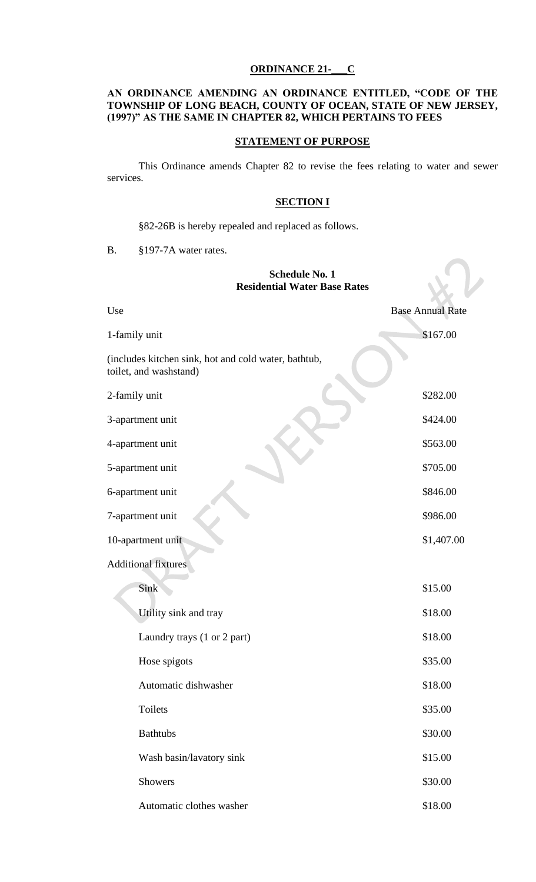# **ORDINANCE 21-\_\_\_C**

# **AN ORDINANCE AMENDING AN ORDINANCE ENTITLED, "CODE OF THE TOWNSHIP OF LONG BEACH, COUNTY OF OCEAN, STATE OF NEW JERSEY, (1997)" AS THE SAME IN CHAPTER 82, WHICH PERTAINS TO FEES**

# **STATEMENT OF PURPOSE**

This Ordinance amends Chapter 82 to revise the fees relating to water and sewer services.

### **SECTION I**

§82-26B is hereby repealed and replaced as follows.

B. §197-7A water rates.

# **Schedule No. 1 Residential Water Base Rates**

 $\sqrt{ }$ 

| Use                                                                            | <b>Base Annual Rate</b> |
|--------------------------------------------------------------------------------|-------------------------|
| 1-family unit                                                                  | \$167.00                |
| (includes kitchen sink, hot and cold water, bathtub,<br>toilet, and washstand) |                         |
| 2-family unit                                                                  | \$282.00                |
| 3-apartment unit                                                               | \$424.00                |
| 4-apartment unit                                                               | \$563.00                |
| 5-apartment unit                                                               | \$705.00                |
| 6-apartment unit                                                               | \$846.00                |
| 7-apartment unit                                                               | \$986.00                |
| 10-apartment unit                                                              | \$1,407.00              |
| <b>Additional fixtures</b>                                                     |                         |
| Sink                                                                           | \$15.00                 |
| Utility sink and tray                                                          | \$18.00                 |
| Laundry trays (1 or 2 part)                                                    | \$18.00                 |
| Hose spigots                                                                   | \$35.00                 |
| Automatic dishwasher                                                           | \$18.00                 |
| <b>Toilets</b>                                                                 | \$35.00                 |
| <b>Bathtubs</b>                                                                | \$30.00                 |
| Wash basin/lavatory sink                                                       | \$15.00                 |
| <b>Showers</b>                                                                 | \$30.00                 |
| Automatic clothes washer                                                       | \$18.00                 |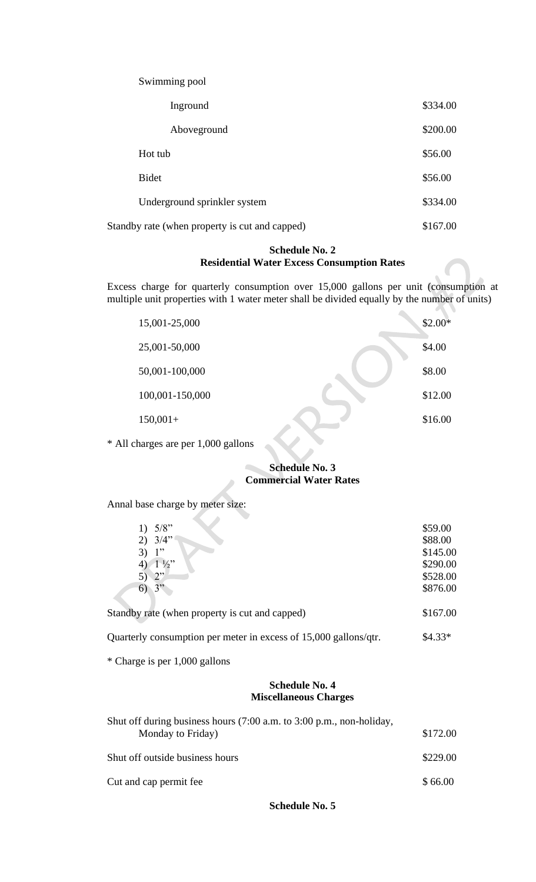Swimming pool

| Inground                                       | \$334.00 |
|------------------------------------------------|----------|
| Aboveground                                    | \$200.00 |
| Hot tub                                        | \$56.00  |
| <b>Bidet</b>                                   | \$56.00  |
| Underground sprinkler system                   | \$334.00 |
| Standby rate (when property is cut and capped) | \$167.00 |

# **Schedule No. 2 Residential Water Excess Consumption Rates**

Excess charge for quarterly consumption over 15,000 gallons per unit (consumption at multiple unit properties with 1 water meter shall be divided equally by the number of units)

| 15,001-25,000   | $$2.00*$ |
|-----------------|----------|
| 25,001-50,000   | \$4.00   |
| 50,001-100,000  | \$8.00   |
| 100,001-150,000 | \$12.00  |
| $150,001+$      | \$16.00  |
|                 |          |

\* All charges are per 1,000 gallons

#### **Schedule No. 3**  $\mathcal{L}_{\mathcal{A}}$ **Commercial Water Rates**

Annal base charge by meter size:

| 1) $5/8$ "                                     | \$59.00  |
|------------------------------------------------|----------|
| $2)$ 3/4"                                      | \$88.00  |
| 1"                                             | \$145.00 |
| $1\frac{1}{2}$                                 | \$290.00 |
| 2"                                             | \$528.00 |
| $\sigma$                                       | \$876.00 |
| Standby rate (when property is cut and capped) | \$167.00 |
|                                                |          |

Quarterly consumption per meter in excess of 15,000 gallons/qtr. \$4.33\*

\* Charge is per 1,000 gallons

# **Schedule No. 4 Miscellaneous Charges**

| Shut off during business hours (7:00 a.m. to 3:00 p.m., non-holiday, |          |  |  |  |
|----------------------------------------------------------------------|----------|--|--|--|
| Monday to Friday)                                                    | \$172.00 |  |  |  |
| Shut off outside business hours                                      | \$229.00 |  |  |  |
| Cut and cap permit fee                                               | \$66.00  |  |  |  |

**Schedule No. 5**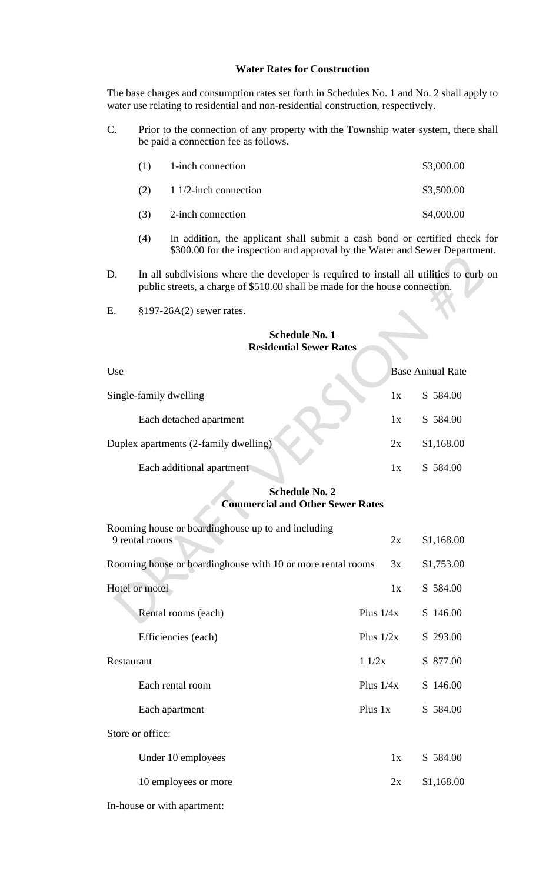### **Water Rates for Construction**

The base charges and consumption rates set forth in Schedules No. 1 and No. 2 shall apply to water use relating to residential and non-residential construction, respectively.

C. Prior to the connection of any property with the Township water system, there shall be paid a connection fee as follows.

| (1) | 1-inch connection           | \$3,000.00 |
|-----|-----------------------------|------------|
|     | $(2)$ 1 1/2-inch connection | \$3,500.00 |
| (3) | 2-inch connection           | \$4,000.00 |

- (4) In addition, the applicant shall submit a cash bond or certified check for \$300.00 for the inspection and approval by the Water and Sewer Department.
- D. In all subdivisions where the developer is required to install all utilities to curb on public streets, a charge of \$510.00 shall be made for the house connection.
- E. §197-26A(2) sewer rates.

#### **Schedule No. 1 Residential Sewer Rates**

| Use                                   |    | <b>Base Annual Rate</b> |
|---------------------------------------|----|-------------------------|
| Single-family dwelling                | 1x | \$584.00                |
| Each detached apartment               | 1x | \$584.00                |
| Duplex apartments (2-family dwelling) | 2x | \$1,168.00              |
| Each additional apartment             | lх | \$584.00                |

# **Schedule No. 2 Commercial and Other Sewer Rates**

| Rooming house or boarding house up to and including         |             |          |            |
|-------------------------------------------------------------|-------------|----------|------------|
| 9 rental rooms                                              |             | 2x       | \$1,168.00 |
| Rooming house or boardinghouse with 10 or more rental rooms |             | 3x       | \$1,753.00 |
| Hotel or motel                                              |             | 1x       | \$584.00   |
| Rental rooms (each)                                         | Plus $1/4x$ |          | \$146.00   |
| Efficiencies (each)                                         | Plus $1/2x$ |          | \$293.00   |
| Restaurant                                                  | 11/2x       | \$877.00 |            |
| Each rental room                                            | Plus $1/4x$ |          | \$146.00   |
| Each apartment                                              | Plus 1x     |          | \$584.00   |
| Store or office:                                            |             |          |            |
| Under 10 employees                                          |             | 1x       | \$584.00   |
| 10 employees or more                                        |             | 2x       | \$1,168.00 |
| In-house or with apartment:                                 |             |          |            |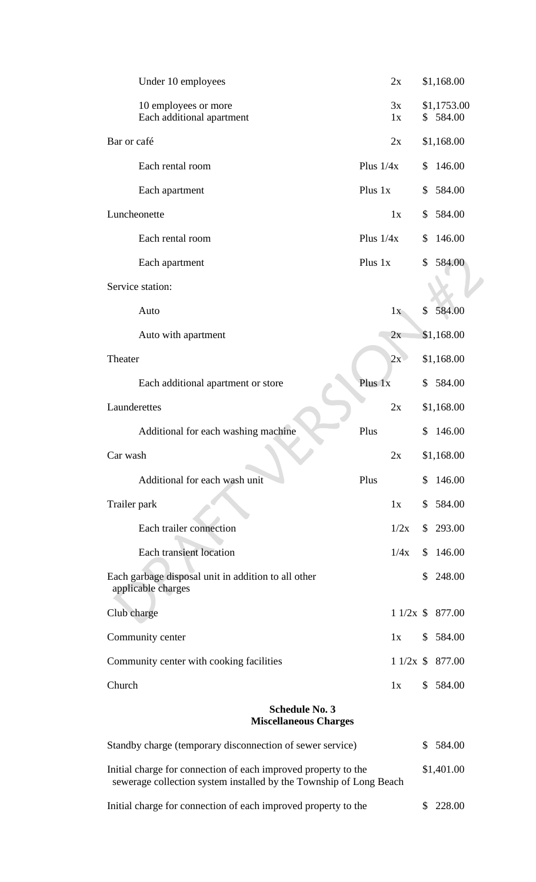| Under 10 employees                                                        |             | 2x       |              | \$1,168.00              |
|---------------------------------------------------------------------------|-------------|----------|--------------|-------------------------|
| 10 employees or more<br>Each additional apartment                         |             | 3x<br>1x |              | \$1,1753.00<br>\$584.00 |
| Bar or café                                                               |             | 2x       |              | \$1,168.00              |
| Each rental room                                                          | Plus $1/4x$ |          | \$           | 146.00                  |
| Each apartment                                                            | Plus 1x     |          | \$           | 584.00                  |
| Luncheonette                                                              |             | 1x       | \$           | 584.00                  |
| Each rental room                                                          | Plus $1/4x$ |          | \$           | 146.00                  |
| Each apartment                                                            | Plus 1x     |          | \$           | 584.00                  |
| Service station:                                                          |             |          |              |                         |
| Auto                                                                      |             | 1x       | \$           | 584.00                  |
| Auto with apartment                                                       |             | 2x       |              | \$1,168.00              |
| Theater                                                                   |             | 2x       |              | \$1,168.00              |
| Each additional apartment or store                                        | Plus 1x     |          | S.           | 584.00                  |
| Launderettes                                                              |             | 2x       |              | \$1,168.00              |
| Additional for each washing machine                                       | Plus        |          | \$           | 146.00                  |
| Car wash                                                                  |             | 2x       |              | \$1,168.00              |
| Additional for each wash unit                                             | Plus        |          |              | \$146.00                |
| Trailer park                                                              |             | 1x       |              | \$584.00                |
| Each trailer connection                                                   |             | 1/2x     | $\mathbb{S}$ | 293.00                  |
| Each transient location                                                   |             | 1/4x     |              | \$146.00                |
| Each garbage disposal unit in addition to all other<br>applicable charges |             |          | \$           | 248.00                  |
| Club charge                                                               |             |          |              | $11/2x$ \$ 877.00       |
| Community center                                                          |             | 1x       |              | \$584.00                |
| Community center with cooking facilities                                  |             |          |              | $11/2x$ \$ 877.00       |
| Church                                                                    |             | 1x       |              | \$584.00                |
| <b>Schedule No. 3</b><br><b>Miscellaneous Charges</b>                     |             |          |              |                         |
| Standby charge (temporary disconnection of sewer service)                 |             |          |              | \$584.00                |
| Initial charge for connection of each improved property to the            |             |          |              | \$1,401.00              |

sewerage collection system installed by the Township of Long Beach

Initial charge for connection of each improved property to the \$ 228.00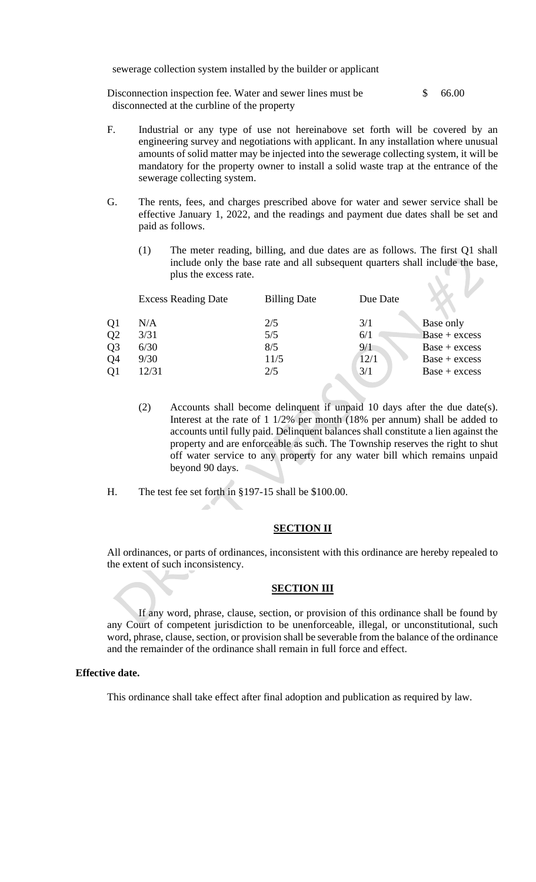sewerage collection system installed by the builder or applicant

Disconnection inspection fee. Water and sewer lines must be \$ 66.00 disconnected at the curbline of the property

- F. Industrial or any type of use not hereinabove set forth will be covered by an engineering survey and negotiations with applicant. In any installation where unusual amounts of solid matter may be injected into the sewerage collecting system, it will be mandatory for the property owner to install a solid waste trap at the entrance of the sewerage collecting system.
- G. The rents, fees, and charges prescribed above for water and sewer service shall be effective January 1, 2022, and the readings and payment due dates shall be set and paid as follows.
	- (1) The meter reading, billing, and due dates are as follows. The first Q1 shall include only the base rate and all subsequent quarters shall include the base, plus the excess rate.

|    | <b>Excess Reading Date</b> | <b>Billing Date</b> | Due Date |                 |
|----|----------------------------|---------------------|----------|-----------------|
| Q1 | N/A                        | 2/5                 | 3/1      | Base only       |
| Q2 | 3/31                       | 5/5                 | 6/1      | $Base + excess$ |
| Q3 | 6/30                       | 8/5                 | 9/1      | $Base + excess$ |
| Q4 | 9/30                       | 11/5                | 12/1     | $Base + excess$ |
| O1 | 12/31                      | 2/5                 | 3/1      | $Base + excess$ |
|    |                            |                     |          |                 |

- (2) Accounts shall become delinquent if unpaid 10 days after the due date(s). Interest at the rate of 1 1/2% per month (18% per annum) shall be added to accounts until fully paid. Delinquent balances shall constitute a lien against the property and are enforceable as such. The Township reserves the right to shut off water service to any property for any water bill which remains unpaid beyond 90 days.
- H. The test fee set forth in §197-15 shall be \$100.00.

 $\mathbb{R}^d$ 

#### **SECTION II**

All ordinances, or parts of ordinances, inconsistent with this ordinance are hereby repealed to the extent of such inconsistency.

#### **SECTION III**

If any word, phrase, clause, section, or provision of this ordinance shall be found by any Court of competent jurisdiction to be unenforceable, illegal, or unconstitutional, such word, phrase, clause, section, or provision shall be severable from the balance of the ordinance and the remainder of the ordinance shall remain in full force and effect.

#### **Effective date.**

This ordinance shall take effect after final adoption and publication as required by law.